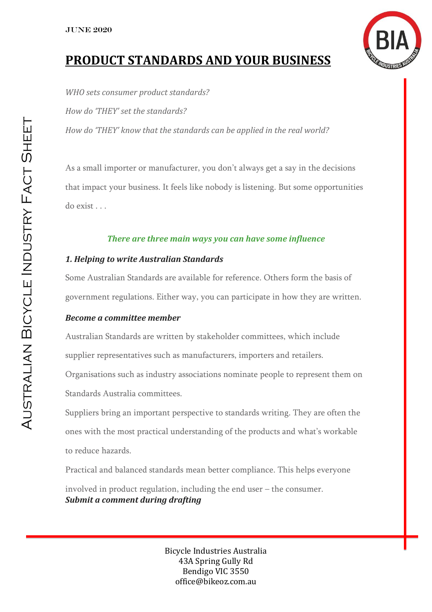

# **PRODUCT STANDARDS AND YOUR BUSINESS**

*WHO sets consumer product standards? How do 'THEY' set the standards? How do 'THEY' know that the standards can be applied in the real world?*

As a small importer or manufacturer, you don't always get a say in the decisions that impact your business. It feels like nobody is listening. But some opportunities do exist . . .

# *There are three main ways you can have some influence*

# *1. Helping to write Australian Standards*

Some Australian Standards are available for reference. Others form the basis of government regulations. Either way, you can participate in how they are written.

#### *Become a committee member*

Australian Standards are written by stakeholder committees, which include supplier representatives such as manufacturers, importers and retailers. Organisations such as industry associations nominate people to represent them on Standards Australia committees.

Suppliers bring an important perspective to standards writing. They are often the ones with the most practical understanding of the products and what's workable to reduce hazards.

Practical and balanced standards mean better compliance. This helps everyone

involved in product regulation, including the end user – the consumer. *Submit a comment during drafting*

> Bicycle Industries Australia 43A Spring Gully Rd Bendigo VIC 3550 office@bikeoz.com.au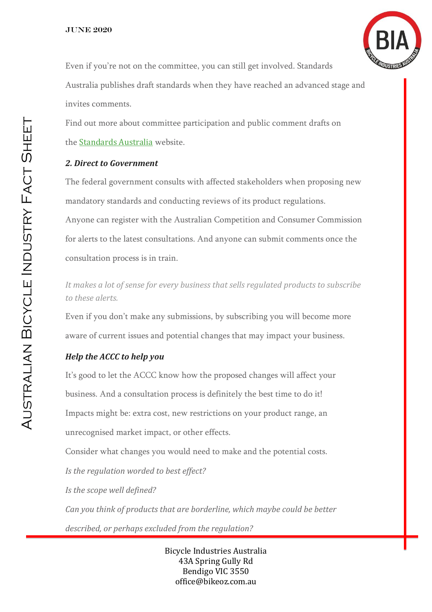

Even if you're not on the committee, you can still get involved. Standards Australia publishes draft standards when they have reached an advanced stage and invites comments.

Find out more about committee participation and public comment drafts on the [Standards Australia](http://www.standards.org.au/Pages/default.aspx) website.

#### *2. Direct to Government*

The federal government consults with affected stakeholders when proposing new mandatory standards and conducting reviews of its product regulations. Anyone can register with the Australian Competition and Consumer Commission for alerts to the latest consultations. And anyone can submit comments once the consultation process is in train.

*It makes a lot of sense for every business that sells regulated products to subscribe to these alerts.*

Even if you don't make any submissions, by subscribing you will become more aware of current issues and potential changes that may impact your business.

#### *Help the ACCC to help you*

It's good to let the ACCC know how the proposed changes will affect your business. And a consultation process is definitely the best time to do it! Impacts might be: extra cost, new restrictions on your product range, an unrecognised market impact, or other effects.

Consider what changes you would need to make and the potential costs.

*Is the regulation worded to best effect?*

*Is the scope well defined?*

*Can you think of products that are borderline, which maybe could be better described, or perhaps excluded from the regulation?*

> Bicycle Industries Australia 43A Spring Gully Rd Bendigo VIC 3550 office@bikeoz.com.au